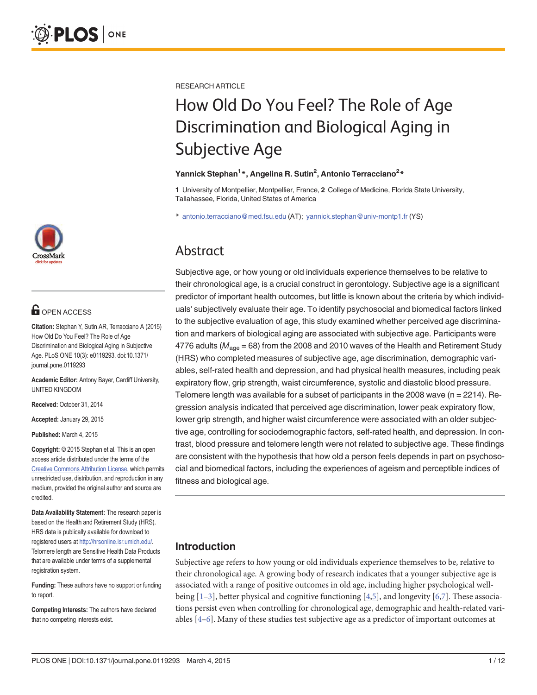

# **OPEN ACCESS**

Citation: Stephan Y, Sutin AR, Terracciano A (2015) How Old Do You Feel? The Role of Age Discrimination and Biological Aging in Subjective Age. PLoS ONE 10(3): e0119293. doi:10.1371/ journal.pone.0119293

Academic Editor: Antony Bayer, Cardiff University, UNITED KINGDOM

Received: October 31, 2014

Accepted: January 29, 2015

Published: March 4, 2015

Copyright: © 2015 Stephan et al. This is an open access article distributed under the terms of the [Creative Commons Attribution License,](http://creativecommons.org/licenses/by/4.0/) which permits unrestricted use, distribution, and reproduction in any medium, provided the original author and source are credited.

Data Availability Statement: The research paper is based on the Health and Retirement Study (HRS). HRS data is publically available for download to registered users at <http://hrsonline.isr.umich.edu/>. Telomere length are Sensitive Health Data Products that are available under terms of a supplemental registration system.

Funding: These authors have no support or funding to report.

Competing Interests: The authors have declared that no competing interests exist.

<span id="page-0-0"></span>RESEARCH ARTICLE

# How Old Do You Feel? The Role of Age Discrimination and Biological Aging in Subjective Age

## Yannick Stephan<sup>1</sup>\*, Angelina R. Sutin<sup>2</sup>, Antonio Terracciano<sup>2</sup>\*

1 University of Montpellier, Montpellier, France, 2 College of Medicine, Florida State University, Tallahassee, Florida, United States of America

\* antonio.terracciano@med.fsu.edu (AT); yannick.stephan@univ-montp1.fr (YS)

# Abstract

Subjective age, or how young or old individuals experience themselves to be relative to their chronological age, is a crucial construct in gerontology. Subjective age is a significant predictor of important health outcomes, but little is known about the criteria by which individuals' subjectively evaluate their age. To identify psychosocial and biomedical factors linked to the subjective evaluation of age, this study examined whether perceived age discrimination and markers of biological aging are associated with subjective age. Participants were 4776 adults ( $M_{\text{aoe}}$  = 68) from the 2008 and 2010 waves of the Health and Retirement Study (HRS) who completed measures of subjective age, age discrimination, demographic variables, self-rated health and depression, and had physical health measures, including peak expiratory flow, grip strength, waist circumference, systolic and diastolic blood pressure. Telomere length was available for a subset of participants in the 2008 wave ( $n = 2214$ ). Regression analysis indicated that perceived age discrimination, lower peak expiratory flow, lower grip strength, and higher waist circumference were associated with an older subjective age, controlling for sociodemographic factors, self-rated health, and depression. In contrast, blood pressure and telomere length were not related to subjective age. These findings are consistent with the hypothesis that how old a person feels depends in part on psychosocial and biomedical factors, including the experiences of ageism and perceptible indices of fitness and biological age.

# Introduction

Subjective age refers to how young or old individuals experience themselves to be, relative to their chronological age. A growing body of research indicates that a younger subjective age is associated with a range of positive outcomes in old age, including higher psychological wellbeing  $[1-3]$  $[1-3]$  $[1-3]$  $[1-3]$ , better physical and cognitive functioning  $[4,5]$  $[4,5]$ , and longevity  $[6,7]$  $[6,7]$ . These associations persist even when controlling for chronological age, demographic and health-related variables  $[4-6]$  $[4-6]$  $[4-6]$  $[4-6]$ . Many of these studies test subjective age as a predictor of important outcomes at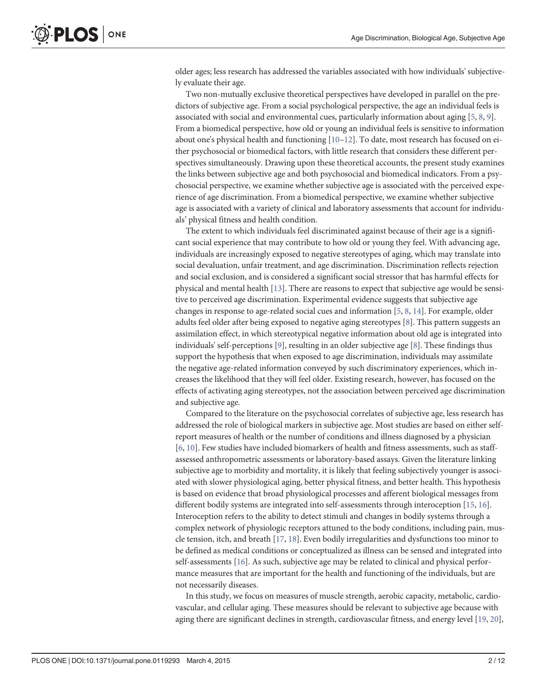<span id="page-1-0"></span>older ages; less research has addressed the variables associated with how individuals' subjectively evaluate their age.

Two non-mutually exclusive theoretical perspectives have developed in parallel on the predictors of subjective age. From a social psychological perspective, the age an individual feels is associated with social and environmental cues, particularly information about aging [[5,](#page-9-0) [8,](#page-9-0) [9](#page-9-0)]. From a biomedical perspective, how old or young an individual feels is sensitive to information about one's physical health and functioning  $[10-12]$  $[10-12]$  $[10-12]$  $[10-12]$  $[10-12]$ . To date, most research has focused on either psychosocial or biomedical factors, with little research that considers these different perspectives simultaneously. Drawing upon these theoretical accounts, the present study examines the links between subjective age and both psychosocial and biomedical indicators. From a psychosocial perspective, we examine whether subjective age is associated with the perceived experience of age discrimination. From a biomedical perspective, we examine whether subjective age is associated with a variety of clinical and laboratory assessments that account for individuals' physical fitness and health condition.

The extent to which individuals feel discriminated against because of their age is a significant social experience that may contribute to how old or young they feel. With advancing age, individuals are increasingly exposed to negative stereotypes of aging, which may translate into social devaluation, unfair treatment, and age discrimination. Discrimination reflects rejection and social exclusion, and is considered a significant social stressor that has harmful effects for physical and mental health [\[13\]](#page-9-0). There are reasons to expect that subjective age would be sensitive to perceived age discrimination. Experimental evidence suggests that subjective age changes in response to age-related social cues and information [\[5](#page-9-0), [8](#page-9-0), [14](#page-9-0)]. For example, older adults feel older after being exposed to negative aging stereotypes [[8](#page-9-0)]. This pattern suggests an assimilation effect, in which stereotypical negative information about old age is integrated into individuals' self-perceptions [[9](#page-9-0)], resulting in an older subjective age [\[8](#page-9-0)]. These findings thus support the hypothesis that when exposed to age discrimination, individuals may assimilate the negative age-related information conveyed by such discriminatory experiences, which increases the likelihood that they will feel older. Existing research, however, has focused on the effects of activating aging stereotypes, not the association between perceived age discrimination and subjective age.

Compared to the literature on the psychosocial correlates of subjective age, less research has addressed the role of biological markers in subjective age. Most studies are based on either selfreport measures of health or the number of conditions and illness diagnosed by a physician [\[6](#page-9-0), [10](#page-9-0)]. Few studies have included biomarkers of health and fitness assessments, such as staffassessed anthropometric assessments or laboratory-based assays. Given the literature linking subjective age to morbidity and mortality, it is likely that feeling subjectively younger is associated with slower physiological aging, better physical fitness, and better health. This hypothesis is based on evidence that broad physiological processes and afferent biological messages from different bodily systems are integrated into self-assessments through interoception [[15](#page-9-0), [16](#page-9-0)]. Interoception refers to the ability to detect stimuli and changes in bodily systems through a complex network of physiologic receptors attuned to the body conditions, including pain, muscle tension, itch, and breath  $[17, 18]$  $[17, 18]$  $[17, 18]$  $[17, 18]$  $[17, 18]$ . Even bodily irregularities and dysfunctions too minor to be defined as medical conditions or conceptualized as illness can be sensed and integrated into self-assessments [[16\]](#page-9-0). As such, subjective age may be related to clinical and physical performance measures that are important for the health and functioning of the individuals, but are not necessarily diseases.

In this study, we focus on measures of muscle strength, aerobic capacity, metabolic, cardiovascular, and cellular aging. These measures should be relevant to subjective age because with aging there are significant declines in strength, cardiovascular fitness, and energy level [\[19,](#page-9-0) [20\]](#page-10-0),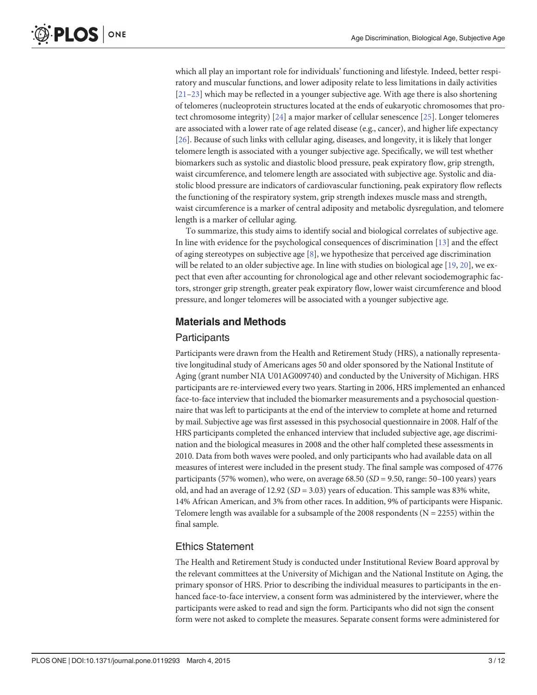<span id="page-2-0"></span>which all play an important role for individuals' functioning and lifestyle. Indeed, better respiratory and muscular functions, and lower adiposity relate to less limitations in daily activities  $[21–23]$  $[21–23]$  $[21–23]$  which may be reflected in a younger subjective age. With age there is also shortening of telomeres (nucleoprotein structures located at the ends of eukaryotic chromosomes that protect chromosome integrity) [[24](#page-10-0)] a major marker of cellular senescence [[25](#page-10-0)]. Longer telomeres are associated with a lower rate of age related disease (e.g., cancer), and higher life expectancy [\[26](#page-10-0)]. Because of such links with cellular aging, diseases, and longevity, it is likely that longer telomere length is associated with a younger subjective age. Specifically, we will test whether biomarkers such as systolic and diastolic blood pressure, peak expiratory flow, grip strength, waist circumference, and telomere length are associated with subjective age. Systolic and diastolic blood pressure are indicators of cardiovascular functioning, peak expiratory flow reflects the functioning of the respiratory system, grip strength indexes muscle mass and strength, waist circumference is a marker of central adiposity and metabolic dysregulation, and telomere length is a marker of cellular aging.

To summarize, this study aims to identify social and biological correlates of subjective age. In line with evidence for the psychological consequences of discrimination [[13](#page-9-0)] and the effect of aging stereotypes on subjective age  $[8]$ , we hypothesize that perceived age discrimination will be related to an older subjective age. In line with studies on biological age [[19](#page-9-0), [20](#page-10-0)], we expect that even after accounting for chronological age and other relevant sociodemographic factors, stronger grip strength, greater peak expiratory flow, lower waist circumference and blood pressure, and longer telomeres will be associated with a younger subjective age.

# Materials and Methods

# **Participants**

Participants were drawn from the Health and Retirement Study (HRS), a nationally representative longitudinal study of Americans ages 50 and older sponsored by the National Institute of Aging (grant number NIA U01AG009740) and conducted by the University of Michigan. HRS participants are re-interviewed every two years. Starting in 2006, HRS implemented an enhanced face-to-face interview that included the biomarker measurements and a psychosocial questionnaire that was left to participants at the end of the interview to complete at home and returned by mail. Subjective age was first assessed in this psychosocial questionnaire in 2008. Half of the HRS participants completed the enhanced interview that included subjective age, age discrimination and the biological measures in 2008 and the other half completed these assessments in 2010. Data from both waves were pooled, and only participants who had available data on all measures of interest were included in the present study. The final sample was composed of 4776 participants (57% women), who were, on average  $68.50$  (SD = 9.50, range: 50–100 years) years old, and had an average of 12.92 ( $SD = 3.03$ ) years of education. This sample was 83% white, 14% African American, and 3% from other races. In addition, 9% of participants were Hispanic. Telomere length was available for a subsample of the 2008 respondents ( $N = 2255$ ) within the final sample.

# Ethics Statement

The Health and Retirement Study is conducted under Institutional Review Board approval by the relevant committees at the University of Michigan and the National Institute on Aging, the primary sponsor of HRS. Prior to describing the individual measures to participants in the enhanced face-to-face interview, a consent form was administered by the interviewer, where the participants were asked to read and sign the form. Participants who did not sign the consent form were not asked to complete the measures. Separate consent forms were administered for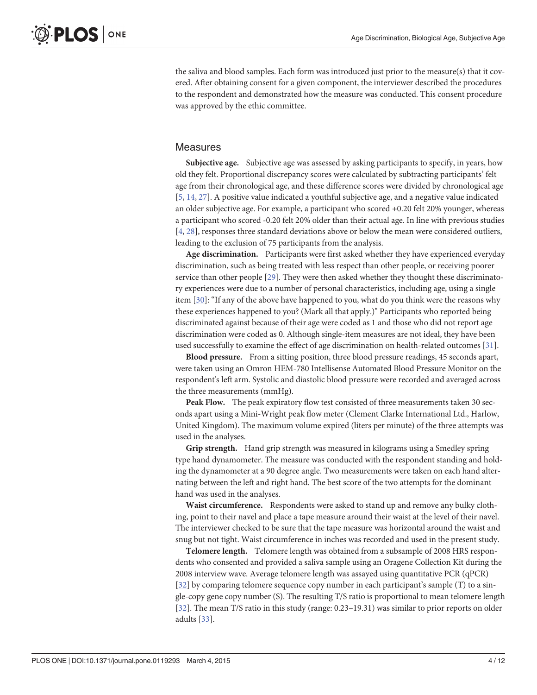<span id="page-3-0"></span>the saliva and blood samples. Each form was introduced just prior to the measure(s) that it covered. After obtaining consent for a given component, the interviewer described the procedures to the respondent and demonstrated how the measure was conducted. This consent procedure was approved by the ethic committee.

#### Measures

Subjective age. Subjective age was assessed by asking participants to specify, in years, how old they felt. Proportional discrepancy scores were calculated by subtracting participants' felt age from their chronological age, and these difference scores were divided by chronological age [\[5](#page-9-0), [14](#page-9-0), [27](#page-10-0)]. A positive value indicated a youthful subjective age, and a negative value indicated an older subjective age. For example, a participant who scored +0.20 felt 20% younger, whereas a participant who scored -0.20 felt 20% older than their actual age. In line with previous studies [\[4](#page-9-0), [28](#page-10-0)], responses three standard deviations above or below the mean were considered outliers, leading to the exclusion of 75 participants from the analysis.

Age discrimination. Participants were first asked whether they have experienced everyday discrimination, such as being treated with less respect than other people, or receiving poorer service than other people [[29](#page-10-0)]. They were then asked whether they thought these discriminatory experiences were due to a number of personal characteristics, including age, using a single item [[30](#page-10-0)]: "If any of the above have happened to you, what do you think were the reasons why these experiences happened to you? (Mark all that apply.)" Participants who reported being discriminated against because of their age were coded as 1 and those who did not report age discrimination were coded as 0. Although single-item measures are not ideal, they have been used successfully to examine the effect of age discrimination on health-related outcomes [[31](#page-10-0)].

Blood pressure. From a sitting position, three blood pressure readings, 45 seconds apart, were taken using an Omron HEM-780 Intellisense Automated Blood Pressure Monitor on the respondent's left arm. Systolic and diastolic blood pressure were recorded and averaged across the three measurements (mmHg).

Peak Flow. The peak expiratory flow test consisted of three measurements taken 30 seconds apart using a Mini-Wright peak flow meter (Clement Clarke International Ltd., Harlow, United Kingdom). The maximum volume expired (liters per minute) of the three attempts was used in the analyses.

Grip strength. Hand grip strength was measured in kilograms using a Smedley spring type hand dynamometer. The measure was conducted with the respondent standing and holding the dynamometer at a 90 degree angle. Two measurements were taken on each hand alternating between the left and right hand. The best score of the two attempts for the dominant hand was used in the analyses.

Waist circumference. Respondents were asked to stand up and remove any bulky clothing, point to their navel and place a tape measure around their waist at the level of their navel. The interviewer checked to be sure that the tape measure was horizontal around the waist and snug but not tight. Waist circumference in inches was recorded and used in the present study.

Telomere length. Telomere length was obtained from a subsample of 2008 HRS respondents who consented and provided a saliva sample using an Oragene Collection Kit during the 2008 interview wave. Average telomere length was assayed using quantitative PCR (qPCR) [\[32](#page-10-0)] by comparing telomere sequence copy number in each participant's sample (T) to a single-copy gene copy number (S). The resulting T/S ratio is proportional to mean telomere length [\[32](#page-10-0)]. The mean T/S ratio in this study (range: 0.23–19.31) was similar to prior reports on older adults [[33](#page-10-0)].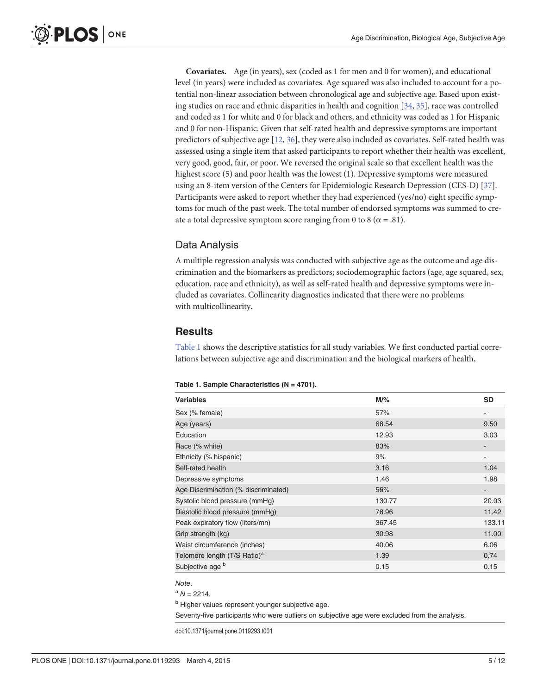<span id="page-4-0"></span>Covariates. Age (in years), sex (coded as 1 for men and 0 for women), and educational level (in years) were included as covariates. Age squared was also included to account for a potential non-linear association between chronological age and subjective age. Based upon existing studies on race and ethnic disparities in health and cognition [[34](#page-10-0), [35](#page-10-0)], race was controlled and coded as 1 for white and 0 for black and others, and ethnicity was coded as 1 for Hispanic and 0 for non-Hispanic. Given that self-rated health and depressive symptoms are important predictors of subjective age  $[12, 36]$  $[12, 36]$  $[12, 36]$  $[12, 36]$  $[12, 36]$ , they were also included as covariates. Self-rated health was assessed using a single item that asked participants to report whether their health was excellent, very good, good, fair, or poor. We reversed the original scale so that excellent health was the highest score (5) and poor health was the lowest (1). Depressive symptoms were measured using an 8-item version of the Centers for Epidemiologic Research Depression (CES-D) [[37](#page-10-0)]. Participants were asked to report whether they had experienced (yes/no) eight specific symptoms for much of the past week. The total number of endorsed symptoms was summed to create a total depressive symptom score ranging from 0 to 8 ( $\alpha$  = .81).

# Data Analysis

A multiple regression analysis was conducted with subjective age as the outcome and age discrimination and the biomarkers as predictors; sociodemographic factors (age, age squared, sex, education, race and ethnicity), as well as self-rated health and depressive symptoms were included as covariates. Collinearity diagnostics indicated that there were no problems with multicollinearity.

### **Results**

Table 1 shows the descriptive statistics for all study variables. We first conducted partial correlations between subjective age and discrimination and the biological markers of health,

| <b>Variables</b>                         | $M\frac{9}{6}$ | <b>SD</b> |
|------------------------------------------|----------------|-----------|
| Sex (% female)                           | 57%            |           |
| Age (years)                              | 68.54          | 9.50      |
| Education                                | 12.93          | 3.03      |
| Race (% white)                           | 83%            |           |
| Ethnicity (% hispanic)                   | 9%             |           |
| Self-rated health                        | 3.16           | 1.04      |
| Depressive symptoms                      | 1.46           | 1.98      |
| Age Discrimination (% discriminated)     | 56%            | -         |
| Systolic blood pressure (mmHg)           | 130.77         | 20.03     |
| Diastolic blood pressure (mmHg)          | 78.96          | 11.42     |
| Peak expiratory flow (liters/mn)         | 367.45         | 133.11    |
| Grip strength (kg)                       | 30.98          | 11.00     |
| Waist circumference (inches)             | 40.06          | 6.06      |
| Telomere length (T/S Ratio) <sup>a</sup> | 1.39           | 0.74      |
| Subjective age b                         | 0.15           | 0.15      |

Table 1. Sample Characteristics (N = 4701).

Note.

 $a$  N = 2214.

<sup>b</sup> Higher values represent younger subjective age.

Seventy-five participants who were outliers on subjective age were excluded from the analysis.

doi:10.1371/journal.pone.0119293.t001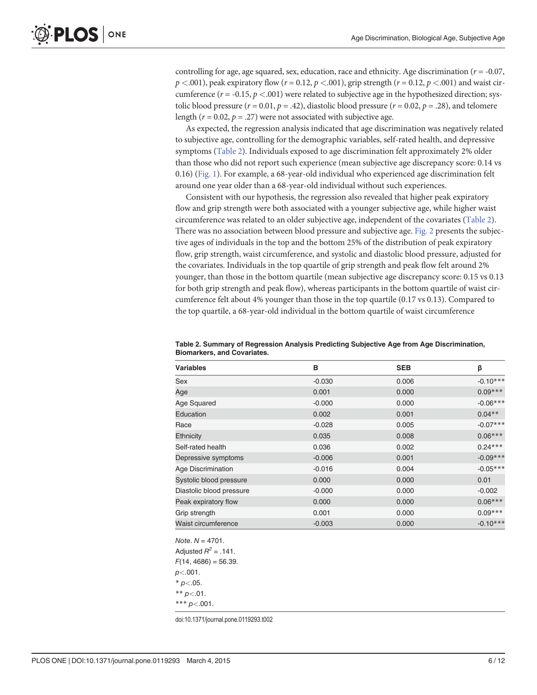<span id="page-5-0"></span>controlling for age, age squared, sex, education, race and ethnicity. Age discrimination ( $r = -0.07$ ,  $p < .001$ ), peak expiratory flow (r = 0.12, p < .001), grip strength (r = 0.12, p < .001) and waist circumference ( $r = -0.15$ ,  $p < .001$ ) were related to subjective age in the hypothesized direction; systolic blood pressure ( $r = 0.01$ ,  $p = .42$ ), diastolic blood pressure ( $r = 0.02$ ,  $p = .28$ ), and telomere length ( $r = 0.02$ ,  $p = .27$ ) were not associated with subjective age.

As expected, the regression analysis indicated that age discrimination was negatively related to subjective age, controlling for the demographic variables, self-rated health, and depressive symptoms (Table 2). Individuals exposed to age discrimination felt approximately 2% older than those who did not report such experience (mean subjective age discrepancy score: 0.14 vs 0.16) ([Fig. 1](#page-6-0)). For example, a 68-year-old individual who experienced age discrimination felt around one year older than a 68-year-old individual without such experiences.

Consistent with our hypothesis, the regression also revealed that higher peak expiratory flow and grip strength were both associated with a younger subjective age, while higher waist circumference was related to an older subjective age, independent of the covariates (Table 2). There was no association between blood pressure and subjective age. [Fig. 2](#page-6-0) presents the subjective ages of individuals in the top and the bottom 25% of the distribution of peak expiratory flow, grip strength, waist circumference, and systolic and diastolic blood pressure, adjusted for the covariates. Individuals in the top quartile of grip strength and peak flow felt around 2% younger, than those in the bottom quartile (mean subjective age discrepancy score: 0.15 vs 0.13 for both grip strength and peak flow), whereas participants in the bottom quartile of waist circumference felt about 4% younger than those in the top quartile (0.17 vs 0.13). Compared to the top quartile, a 68-year-old individual in the bottom quartile of waist circumference

| <b>Variables</b>          | в        | <b>SEB</b> | β          |
|---------------------------|----------|------------|------------|
| Sex                       | $-0.030$ | 0.006      | $-0.10***$ |
| Age                       | 0.001    | 0.000      | $0.09***$  |
| Age Squared               | $-0.000$ | 0.000      | $-0.06***$ |
| Education                 | 0.002    | 0.001      | $0.04**$   |
| Race                      | $-0.028$ | 0.005      | $-0.07***$ |
| Ethnicity                 | 0.035    | 0.008      | $0.06***$  |
| Self-rated health         | 0.036    | 0.002      | $0.24***$  |
| Depressive symptoms       | $-0.006$ | 0.001      | $-0.09***$ |
| <b>Age Discrimination</b> | $-0.016$ | 0.004      | $-0.05***$ |
| Systolic blood pressure   | 0.000    | 0.000      | 0.01       |
| Diastolic blood pressure  | $-0.000$ | 0.000      | $-0.002$   |
| Peak expiratory flow      | 0.000    | 0.000      | $0.06***$  |
| Grip strength             | 0.001    | 0.000      | $0.09***$  |
| Waist circumference       | $-0.003$ | 0.000      | $-0.10***$ |
| .                         |          |            |            |

Table 2. Summary of Regression Analysis Predicting Subjective Age from Age Discrimination, Biomarkers, and Covariates.

 $Note\ N = 4701$ . Adjusted  $R^2$  = .141.  $F(14, 4686) = 56.39.$  $p<.001$ .  $*$  p $< .05$ . \*\*  $p < .01$ . \*\*\*  $p$  <.001.

doi:10.1371/journal.pone.0119293.t002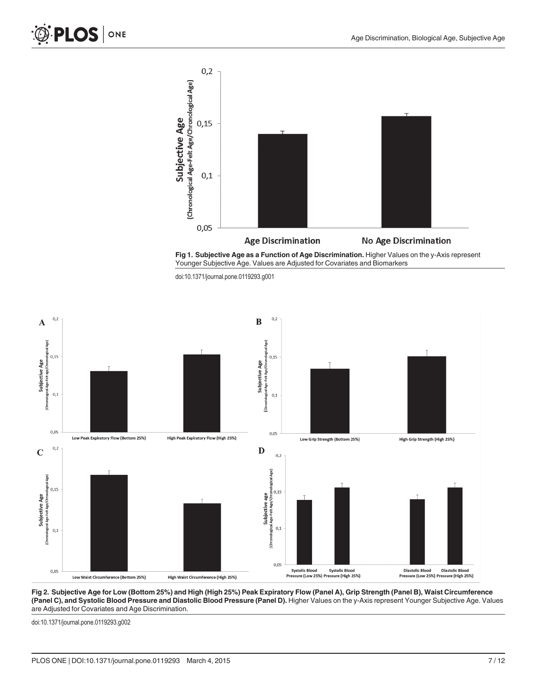<span id="page-6-0"></span>

[Fig 1. S](#page-5-0)ubjective Age as a Function of Age Discrimination. Higher Values on the y-Axis represent Younger Subjective Age. Values are Adjusted for Covariates and Biomarkers

doi:10.1371/journal.pone.0119293.g001



[Fig 2. S](#page-5-0)ubjective Age for Low (Bottom 25%) and High (High 25%) Peak Expiratory Flow (Panel A), Grip Strength (Panel B), Waist Circumference (Panel C), and Systolic Blood Pressure and Diastolic Blood Pressure (Panel D). Higher Values on the y-Axis represent Younger Subjective Age. Values are Adjusted for Covariates and Age Discrimination.

doi:10.1371/journal.pone.0119293.g002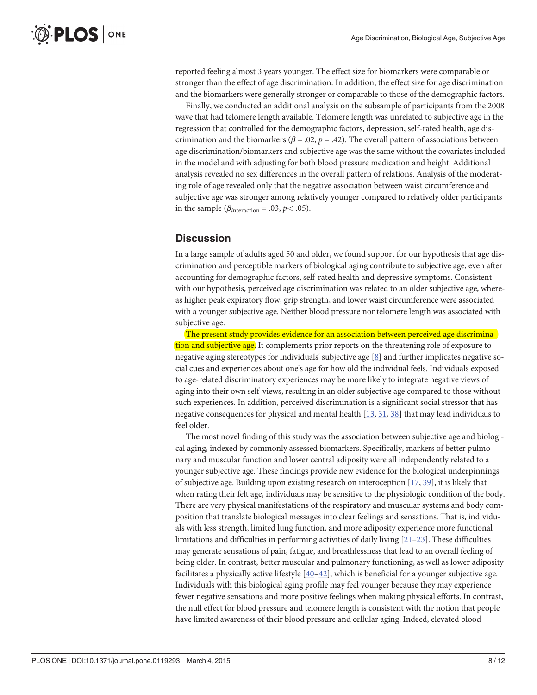<span id="page-7-0"></span>reported feeling almost 3 years younger. The effect size for biomarkers were comparable or stronger than the effect of age discrimination. In addition, the effect size for age discrimination and the biomarkers were generally stronger or comparable to those of the demographic factors.

Finally, we conducted an additional analysis on the subsample of participants from the 2008 wave that had telomere length available. Telomere length was unrelated to subjective age in the regression that controlled for the demographic factors, depression, self-rated health, age discrimination and the biomarkers ( $\beta$  = .02,  $p$  = .42). The overall pattern of associations between age discrimination/biomarkers and subjective age was the same without the covariates included in the model and with adjusting for both blood pressure medication and height. Additional analysis revealed no sex differences in the overall pattern of relations. Analysis of the moderating role of age revealed only that the negative association between waist circumference and subjective age was stronger among relatively younger compared to relatively older participants in the sample ( $\beta_{interaction} = .03, p < .05$ ).

# **Discussion**

In a large sample of adults aged 50 and older, we found support for our hypothesis that age discrimination and perceptible markers of biological aging contribute to subjective age, even after accounting for demographic factors, self-rated health and depressive symptoms. Consistent with our hypothesis, perceived age discrimination was related to an older subjective age, whereas higher peak expiratory flow, grip strength, and lower waist circumference were associated with a younger subjective age. Neither blood pressure nor telomere length was associated with subjective age.

The present study provides evidence for an association between perceived age discrimination and subjective age. It complements prior reports on the threatening role of exposure to negative aging stereotypes for individuals' subjective age [\[8\]](#page-9-0) and further implicates negative social cues and experiences about one's age for how old the individual feels. Individuals exposed to age-related discriminatory experiences may be more likely to integrate negative views of aging into their own self-views, resulting in an older subjective age compared to those without such experiences. In addition, perceived discrimination is a significant social stressor that has negative consequences for physical and mental health  $[13, 31, 38]$  $[13, 31, 38]$  $[13, 31, 38]$  $[13, 31, 38]$  $[13, 31, 38]$  $[13, 31, 38]$  that may lead individuals to feel older.

The most novel finding of this study was the association between subjective age and biological aging, indexed by commonly assessed biomarkers. Specifically, markers of better pulmonary and muscular function and lower central adiposity were all independently related to a younger subjective age. These findings provide new evidence for the biological underpinnings of subjective age. Building upon existing research on interoception [\[17,](#page-9-0) [39\]](#page-10-0), it is likely that when rating their felt age, individuals may be sensitive to the physiologic condition of the body. There are very physical manifestations of the respiratory and muscular systems and body composition that translate biological messages into clear feelings and sensations. That is, individuals with less strength, limited lung function, and more adiposity experience more functional limitations and difficulties in performing activities of daily living [[21](#page-10-0)–[23\]](#page-10-0). These difficulties may generate sensations of pain, fatigue, and breathlessness that lead to an overall feeling of being older. In contrast, better muscular and pulmonary functioning, as well as lower adiposity facilitates a physically active lifestyle [[40](#page-10-0)–[42](#page-11-0)], which is beneficial for a younger subjective age. Individuals with this biological aging profile may feel younger because they may experience fewer negative sensations and more positive feelings when making physical efforts. In contrast, the null effect for blood pressure and telomere length is consistent with the notion that people have limited awareness of their blood pressure and cellular aging. Indeed, elevated blood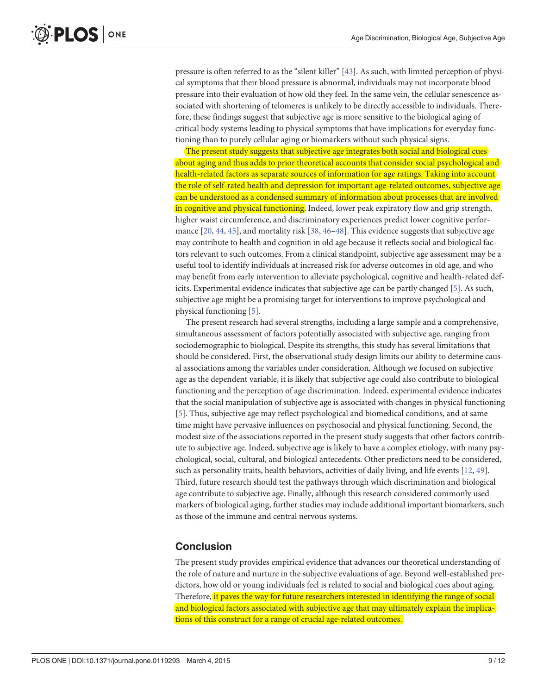<span id="page-8-0"></span>pressure is often referred to as the "silent killer" [[43\]](#page-11-0). As such, with limited perception of physical symptoms that their blood pressure is abnormal, individuals may not incorporate blood pressure into their evaluation of how old they feel. In the same vein, the cellular senescence associated with shortening of telomeres is unlikely to be directly accessible to individuals. Therefore, these findings suggest that subjective age is more sensitive to the biological aging of critical body systems leading to physical symptoms that have implications for everyday functioning than to purely cellular aging or biomarkers without such physical signs.

The present study suggests that subjective age integrates both social and biological cues about aging and thus adds to prior theoretical accounts that consider social psychological and health-related factors as separate sources of information for age ratings. Taking into account the role of self-rated health and depression for important age-related outcomes, subjective age can be understood as a condensed summary of information about processes that are involved in cognitive and physical functioning. Indeed, lower peak expiratory flow and grip strength, higher waist circumference, and discriminatory experiences predict lower cognitive performance  $[20, 44, 45]$  $[20, 44, 45]$  $[20, 44, 45]$  $[20, 44, 45]$  $[20, 44, 45]$  $[20, 44, 45]$  $[20, 44, 45]$ , and mortality risk  $[38, 46-48]$  $[38, 46-48]$  $[38, 46-48]$  $[38, 46-48]$  $[38, 46-48]$  $[38, 46-48]$ . This evidence suggests that subjective age may contribute to health and cognition in old age because it reflects social and biological factors relevant to such outcomes. From a clinical standpoint, subjective age assessment may be a useful tool to identify individuals at increased risk for adverse outcomes in old age, and who may benefit from early intervention to alleviate psychological, cognitive and health-related deficits. Experimental evidence indicates that subjective age can be partly changed  $[5]$  $[5]$ . As such, subjective age might be a promising target for interventions to improve psychological and physical functioning [[5](#page-9-0)].

The present research had several strengths, including a large sample and a comprehensive, simultaneous assessment of factors potentially associated with subjective age, ranging from sociodemographic to biological. Despite its strengths, this study has several limitations that should be considered. First, the observational study design limits our ability to determine causal associations among the variables under consideration. Although we focused on subjective age as the dependent variable, it is likely that subjective age could also contribute to biological functioning and the perception of age discrimination. Indeed, experimental evidence indicates that the social manipulation of subjective age is associated with changes in physical functioning [\[5](#page-9-0)]. Thus, subjective age may reflect psychological and biomedical conditions, and at same time might have pervasive influences on psychosocial and physical functioning. Second, the modest size of the associations reported in the present study suggests that other factors contribute to subjective age. Indeed, subjective age is likely to have a complex etiology, with many psychological, social, cultural, and biological antecedents. Other predictors need to be considered, such as personality traits, health behaviors, activities of daily living, and life events  $[12, 49]$  $[12, 49]$  $[12, 49]$ . Third, future research should test the pathways through which discrimination and biological age contribute to subjective age. Finally, although this research considered commonly used markers of biological aging, further studies may include additional important biomarkers, such as those of the immune and central nervous systems.

# **Conclusion**

The present study provides empirical evidence that advances our theoretical understanding of the role of nature and nurture in the subjective evaluations of age. Beyond well-established predictors, how old or young individuals feel is related to social and biological cues about aging. Therefore, it paves the way for future researchers interested in identifying the range of social and biological factors associated with subjective age that may ultimately explain the implications of this construct for a range of crucial age-related outcomes.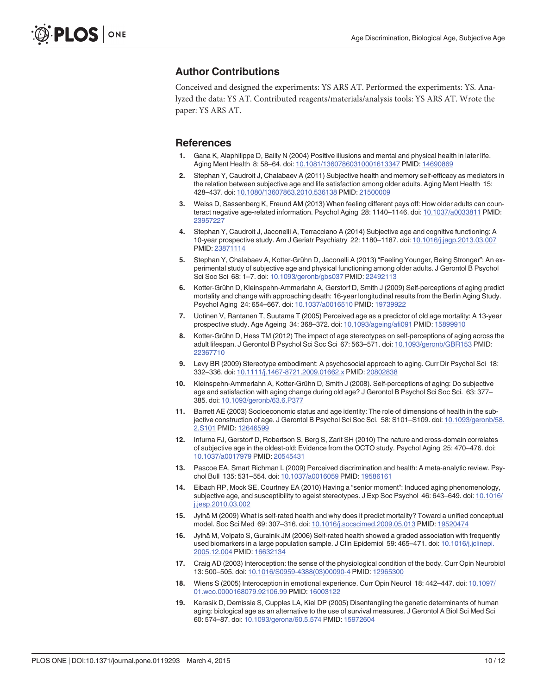# <span id="page-9-0"></span>Author Contributions

Conceived and designed the experiments: YS ARS AT. Performed the experiments: YS. Analyzed the data: YS AT. Contributed reagents/materials/analysis tools: YS ARS AT. Wrote the paper: YS ARS AT.

#### References

- [1.](#page-0-0) Gana K, Alaphilippe D, Bailly N (2004) Positive illusions and mental and physical health in later life. Aging Ment Health 8: 58–64. doi: [10.1081/13607860310001613347](http://dx.doi.org/10.1081/13607860310001613347) PMID: [14690869](http://www.ncbi.nlm.nih.gov/pubmed/14690869)
- 2. Stephan Y, Caudroit J, Chalabaev A (2011) Subjective health and memory self-efficacy as mediators in the relation between subjective age and life satisfaction among older adults. Aging Ment Health 15: 428–437. doi: [10.1080/13607863.2010.536138](http://dx.doi.org/10.1080/13607863.2010.536138) PMID: [21500009](http://www.ncbi.nlm.nih.gov/pubmed/21500009)
- [3.](#page-0-0) Weiss D, Sassenberg K, Freund AM (2013) When feeling different pays off: How older adults can counteract negative age-related information. Psychol Aging 28: 1140–1146. doi: [10.1037/a0033811](http://dx.doi.org/10.1037/a0033811) PMID: [23957227](http://www.ncbi.nlm.nih.gov/pubmed/23957227)
- [4.](#page-0-0) Stephan Y, Caudroit J, Jaconelli A, Terracciano A (2014) Subjective age and cognitive functioning: A 10-year prospective study. Am J Geriatr Psychiatry 22: 1180–1187. doi: [10.1016/j.jagp.2013.03.007](http://dx.doi.org/10.1016/j.jagp.2013.03.007) PMID: [23871114](http://www.ncbi.nlm.nih.gov/pubmed/23871114)
- [5.](#page-0-0) Stephan Y, Chalabaev A, Kotter-Grühn D, Jaconelli A (2013) "Feeling Younger, Being Stronger": An experimental study of subjective age and physical functioning among older adults. J Gerontol B Psychol Sci Soc Sci 68: 1–7. doi: [10.1093/geronb/gbs037](http://dx.doi.org/10.1093/geronb/gbs037) PMID: [22492113](http://www.ncbi.nlm.nih.gov/pubmed/22492113)
- [6.](#page-0-0) Kotter-Grühn D, Kleinspehn-Ammerlahn A, Gerstorf D, Smith J (2009) Self-perceptions of aging predict mortality and change with approaching death: 16-year longitudinal results from the Berlin Aging Study. Psychol Aging 24: 654–667. doi: [10.1037/a0016510](http://dx.doi.org/10.1037/a0016510) PMID: [19739922](http://www.ncbi.nlm.nih.gov/pubmed/19739922)
- [7.](#page-0-0) Uotinen V, Rantanen T, Suutama T (2005) Perceived age as a predictor of old age mortality: A 13-year prospective study. Age Ageing 34: 368–372. doi: [10.1093/ageing/afi091](http://dx.doi.org/10.1093/ageing/afi091) PMID: [15899910](http://www.ncbi.nlm.nih.gov/pubmed/15899910)
- [8.](#page-1-0) Kotter-Grühn D, Hess TM (2012) The impact of age stereotypes on self-perceptions of aging across the adult lifespan. J Gerontol B Psychol Sci Soc Sci 67: 563–571. doi: [10.1093/geronb/GBR153](http://dx.doi.org/10.1093/geronb/GBR153) PMID: [22367710](http://www.ncbi.nlm.nih.gov/pubmed/22367710)
- [9.](#page-1-0) Levy BR (2009) Stereotype embodiment: A psychosocial approach to aging. Curr Dir Psychol Sci 18: 332–336. doi: [10.1111/j.1467-8721.2009.01662.x](http://dx.doi.org/10.1111/j.1467-8721.2009.01662.x) PMID: [20802838](http://www.ncbi.nlm.nih.gov/pubmed/20802838)
- [10.](#page-1-0) Kleinspehn-Ammerlahn A, Kotter-Grühn D, Smith J (2008). Self-perceptions of aging: Do subjective age and satisfaction with aging change during old age? J Gerontol B Psychol Sci Soc Sci. 63: 377– 385. doi: [10.1093/geronb/63.6.P377](http://dx.doi.org/10.1093/geronb/63.6.P377)
- 11. Barrett AE (2003) Socioeconomic status and age identity: The role of dimensions of health in the sub-jective construction of age. J Gerontol B Psychol Sci Soc Sci. 58: S101-S109. doi: [10.1093/geronb/58.](http://dx.doi.org/10.1093/geronb/58.2.S101) [2.S101](http://dx.doi.org/10.1093/geronb/58.2.S101) PMID: [12646599](http://www.ncbi.nlm.nih.gov/pubmed/12646599)
- [12.](#page-1-0) Infurna FJ, Gerstorf D, Robertson S, Berg S, Zarit SH (2010) The nature and cross-domain correlates of subjective age in the oldest-old: Evidence from the OCTO study. Psychol Aging 25: 470–476. doi: [10.1037/a0017979](http://dx.doi.org/10.1037/a0017979) PMID: [20545431](http://www.ncbi.nlm.nih.gov/pubmed/20545431)
- [13.](#page-1-0) Pascoe EA, Smart Richman L (2009) Perceived discrimination and health: A meta-analytic review. Psychol Bull 135: 531–554. doi: [10.1037/a0016059](http://dx.doi.org/10.1037/a0016059) PMID: [19586161](http://www.ncbi.nlm.nih.gov/pubmed/19586161)
- [14.](#page-1-0) Eibach RP, Mock SE, Courtney EA (2010) Having a "senior moment": Induced aging phenomenology, subjective age, and susceptibility to ageist stereotypes. J Exp Soc Psychol 46: 643–649. doi: [10.1016/](http://dx.doi.org/10.1016/j.jesp.2010.03.002) [j.jesp.2010.03.002](http://dx.doi.org/10.1016/j.jesp.2010.03.002)
- [15.](#page-1-0) Jylhä M (2009) What is self-rated health and why does it predict mortality? Toward a unified conceptual model. Soc Sci Med 69: 307–316. doi: [10.1016/j.socscimed.2009.05.013](http://dx.doi.org/10.1016/j.socscimed.2009.05.013) PMID: [19520474](http://www.ncbi.nlm.nih.gov/pubmed/19520474)
- [16.](#page-1-0) Jylhä M, Volpato S, Guralnik JM (2006) Self-rated health showed a graded association with frequently used biomarkers in a large population sample. J Clin Epidemiol 59: 465-471. doi: [10.1016/j.jclinepi.](http://dx.doi.org/10.1016/j.jclinepi.2005.12.004) [2005.12.004](http://dx.doi.org/10.1016/j.jclinepi.2005.12.004) PMID: [16632134](http://www.ncbi.nlm.nih.gov/pubmed/16632134)
- [17.](#page-1-0) Craig AD (2003) Interoception: the sense of the physiological condition of the body. Curr Opin Neurobiol 13: 500–505. doi: [10.1016/S0959-4388\(03\)00090-4](http://dx.doi.org/10.1016/S0959-4388(03)00090-4) PMID: [12965300](http://www.ncbi.nlm.nih.gov/pubmed/12965300)
- [18.](#page-1-0) Wiens S (2005) Interoception in emotional experience. Curr Opin Neurol 18: 442–447. doi: [10.1097/](http://dx.doi.org/10.1097/01.wco.0000168079.92106.99) [01.wco.0000168079.92106.99](http://dx.doi.org/10.1097/01.wco.0000168079.92106.99) PMID: [16003122](http://www.ncbi.nlm.nih.gov/pubmed/16003122)
- [19.](#page-1-0) Karasik D, Demissie S, Cupples LA, Kiel DP (2005) Disentangling the genetic determinants of human aging: biological age as an alternative to the use of survival measures. J Gerontol A Biol Sci Med Sci 60: 574–87. doi: [10.1093/gerona/60.5.574](http://dx.doi.org/10.1093/gerona/60.5.574) PMID: [15972604](http://www.ncbi.nlm.nih.gov/pubmed/15972604)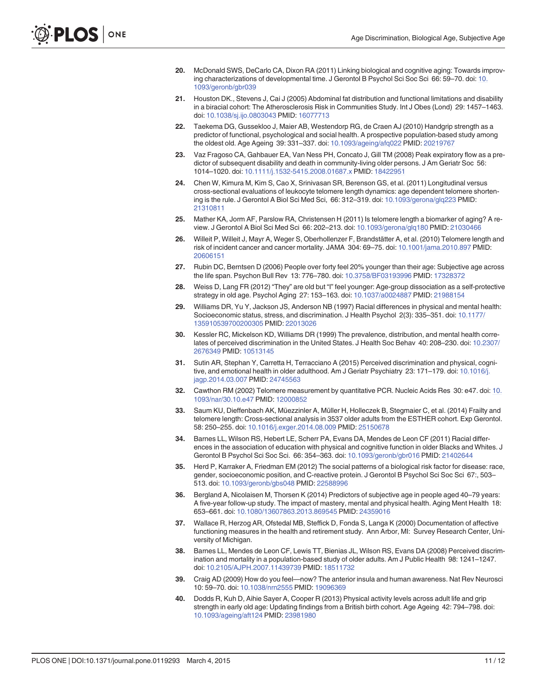- <span id="page-10-0"></span>[20.](#page-1-0) McDonald SWS, DeCarlo CA, Dixon RA (2011) Linking biological and cognitive aging: Towards improving characterizations of developmental time. J Gerontol B Psychol Sci Soc Sci 66: 59–70. doi: [10.](http://dx.doi.org/10.1093/geronb/gbr039) [1093/geronb/gbr039](http://dx.doi.org/10.1093/geronb/gbr039)
- [21.](#page-2-0) Houston DK., Stevens J, Cai J (2005) Abdominal fat distribution and functional limitations and disability in a biracial cohort: The Atherosclerosis Risk in Communities Study. Int J Obes (Lond) 29: 1457–1463. doi: [10.1038/sj.ijo.0803043](http://dx.doi.org/10.1038/sj.ijo.0803043) PMID: [16077713](http://www.ncbi.nlm.nih.gov/pubmed/16077713)
- 22. Taekema DG, Gussekloo J, Maier AB, Westendorp RG, de Craen AJ (2010) Handgrip strength as a predictor of functional, psychological and social health. A prospective population-based study among the oldest old. Age Ageing 39: 331–337. doi: [10.1093/ageing/afq022](http://dx.doi.org/10.1093/ageing/afq022) PMID: [20219767](http://www.ncbi.nlm.nih.gov/pubmed/20219767)
- [23.](#page-2-0) Vaz Fragoso CA, Gahbauer EA, Van Ness PH, Concato J, Gill TM (2008) Peak expiratory flow as a predictor of subsequent disability and death in community-living older persons. J Am Geriatr Soc 56: 1014–1020. doi: [10.1111/j.1532-5415.2008.01687.x](http://dx.doi.org/10.1111/j.1532-5415.2008.01687.x) PMID: [18422951](http://www.ncbi.nlm.nih.gov/pubmed/18422951)
- [24.](#page-2-0) Chen W, Kimura M, Kim S, Cao X, Srinivasan SR, Berenson GS, et al. (2011) Longitudinal versus cross-sectional evaluations of leukocyte telomere length dynamics: age dependent telomere shortening is the rule. J Gerontol A Biol Sci Med Sci, 66: 312–319. doi: [10.1093/gerona/glq223](http://dx.doi.org/10.1093/gerona/glq223) PMID: [21310811](http://www.ncbi.nlm.nih.gov/pubmed/21310811)
- [25.](#page-2-0) Mather KA, Jorm AF, Parslow RA, Christensen H (2011) Is telomere length a biomarker of aging? A review. J Gerontol A Biol Sci Med Sci 66: 202–213. doi: [10.1093/gerona/glq180](http://dx.doi.org/10.1093/gerona/glq180) PMID: [21030466](http://www.ncbi.nlm.nih.gov/pubmed/21030466)
- [26.](#page-2-0) Willeit P, Willeit J, Mayr A, Weger S, Oberhollenzer F, Brandstätter A, et al. (2010) Telomere length and risk of incident cancer and cancer mortality. JAMA 304: 69–75. doi: [10.1001/jama.2010.897](http://dx.doi.org/10.1001/jama.2010.897) PMID: [20606151](http://www.ncbi.nlm.nih.gov/pubmed/20606151)
- [27.](#page-3-0) Rubin DC, Berntsen D (2006) People over forty feel 20% younger than their age: Subjective age across the life span. Psychon Bull Rev 13: 776–780. doi: [10.3758/BF03193996](http://dx.doi.org/10.3758/BF03193996) PMID: [17328372](http://www.ncbi.nlm.nih.gov/pubmed/17328372)
- [28.](#page-3-0) Weiss D, Lang FR (2012) "They" are old but "I" feel younger: Age-group dissociation as a self-protective strategy in old age. Psychol Aging 27: 153–163. doi: [10.1037/a0024887](http://dx.doi.org/10.1037/a0024887) PMID: [21988154](http://www.ncbi.nlm.nih.gov/pubmed/21988154)
- [29.](#page-3-0) Williams DR, Yu Y, Jackson JS, Anderson NB (1997) Racial differences in physical and mental health: Socioeconomic status, stress, and discrimination. J Health Psychol 2(3): 335–351. doi: [10.1177/](http://dx.doi.org/10.1177/135910539700200305) [135910539700200305](http://dx.doi.org/10.1177/135910539700200305) PMID: [22013026](http://www.ncbi.nlm.nih.gov/pubmed/22013026)
- [30.](#page-3-0) Kessler RC, Mickelson KD, Williams DR (1999) The prevalence, distribution, and mental health correlates of perceived discrimination in the United States. J Health Soc Behav 40: 208–230. doi: [10.2307/](http://dx.doi.org/10.2307/2676349) [2676349](http://dx.doi.org/10.2307/2676349) PMID: [10513145](http://www.ncbi.nlm.nih.gov/pubmed/10513145)
- [31.](#page-3-0) Sutin AR, Stephan Y, Carretta H, Terracciano A (2015) Perceived discrimination and physical, cognitive, and emotional health in older adulthood. Am J Geriatr Psychiatry 23: 171–179. doi: [10.1016/j.](http://dx.doi.org/10.1016/j.jagp.2014.03.007) [jagp.2014.03.007](http://dx.doi.org/10.1016/j.jagp.2014.03.007) PMID: [24745563](http://www.ncbi.nlm.nih.gov/pubmed/24745563)
- [32.](#page-3-0) Cawthon RM (2002) Telomere measurement by quantitative PCR. Nucleic Acids Res 30: e47. doi: [10.](http://dx.doi.org/10.1093/nar/30.10.e47) [1093/nar/30.10.e47](http://dx.doi.org/10.1093/nar/30.10.e47) PMID: [12000852](http://www.ncbi.nlm.nih.gov/pubmed/12000852)
- [33.](#page-3-0) Saum KU, Dieffenbach AK, Müezzinler A, Müller H, Holleczek B, Stegmaier C, et al. (2014) Frailty and telomere length: Cross-sectional analysis in 3537 older adults from the ESTHER cohort. Exp Gerontol. 58: 250–255. doi: [10.1016/j.exger.2014.08.009](http://dx.doi.org/10.1016/j.exger.2014.08.009) PMID: [25150678](http://www.ncbi.nlm.nih.gov/pubmed/25150678)
- [34.](#page-4-0) Barnes LL, Wilson RS, Hebert LE, Scherr PA, Evans DA, Mendes de Leon CF (2011) Racial differences in the association of education with physical and cognitive function in older Blacks and Whites. J Gerontol B Psychol Sci Soc Sci. 66: 354–363. doi: [10.1093/geronb/gbr016](http://dx.doi.org/10.1093/geronb/gbr016) PMID: [21402644](http://www.ncbi.nlm.nih.gov/pubmed/21402644)
- [35.](#page-4-0) Herd P, Karraker A, Friedman EM (2012) The social patterns of a biological risk factor for disease: race, gender, socioeconomic position, and C-reactive protein. J Gerontol B Psychol Sci Soc Sci 67:, 503– 513. doi: [10.1093/geronb/gbs048](http://dx.doi.org/10.1093/geronb/gbs048) PMID: [22588996](http://www.ncbi.nlm.nih.gov/pubmed/22588996)
- [36.](#page-4-0) Bergland A, Nicolaisen M, Thorsen K (2014) Predictors of subjective age in people aged 40–79 years: A five-year follow-up study. The impact of mastery, mental and physical health. Aging Ment Health 18: 653–661. doi: [10.1080/13607863.2013.869545](http://dx.doi.org/10.1080/13607863.2013.869545) PMID: [24359016](http://www.ncbi.nlm.nih.gov/pubmed/24359016)
- [37.](#page-4-0) Wallace R, Herzog AR, Ofstedal MB, Steffick D, Fonda S, Langa K (2000) Documentation of affective functioning measures in the health and retirement study. Ann Arbor, MI: Survey Research Center, University of Michigan.
- [38.](#page-7-0) Barnes LL, Mendes de Leon CF, Lewis TT, Bienias JL, Wilson RS, Evans DA (2008) Perceived discrimination and mortality in a population-based study of older adults. Am J Public Health 98: 1241–1247. doi: [10.2105/AJPH.2007.11439739](http://dx.doi.org/10.2105/AJPH.2007.11439739) PMID: [18511732](http://www.ncbi.nlm.nih.gov/pubmed/18511732)
- [39.](#page-7-0) Craig AD (2009) How do you feel—now? The anterior insula and human awareness. Nat Rev Neurosci 10: 59–70. doi: [10.1038/nrn2555](http://dx.doi.org/10.1038/nrn2555) PMID: [19096369](http://www.ncbi.nlm.nih.gov/pubmed/19096369)
- [40.](#page-7-0) Dodds R, Kuh D, Aihie Sayer A, Cooper R (2013) Physical activity levels across adult life and grip strength in early old age: Updating findings from a British birth cohort. Age Ageing 42: 794–798. doi: [10.1093/ageing/aft124](http://dx.doi.org/10.1093/ageing/aft124) PMID: [23981980](http://www.ncbi.nlm.nih.gov/pubmed/23981980)